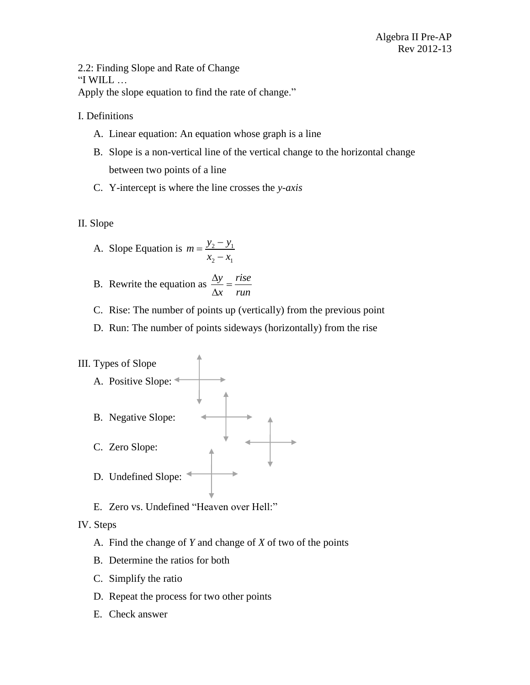2.2: Finding Slope and Rate of Change "I WILL … Apply the slope equation to find the rate of change."

I. Definitions

- A. Linear equation: An equation whose graph is a line
- B. Slope is a non-vertical line of the vertical change to the horizontal change between two points of a line
- C. Y-intercept is where the line crosses the *y-axis*
- II. Slope

A. Slope Equation is 
$$
m = \frac{y_2 - y_1}{x_2 - x_1}
$$

- B. Rewrite the equation as  $\frac{\Delta y}{\Delta t} = \frac{rise}{t}$ *x run*  $\frac{\Delta y}{\Delta}$  =  $\Delta$
- C. Rise: The number of points up (vertically) from the previous point
- D. Run: The number of points sideways (horizontally) from the rise

## III. Types of Slope A. Positive Slope: B. Negative Slope: C. Zero Slope: D. Undefined Slope:

E. Zero vs. Undefined "Heaven over Hell:"

## IV. Steps

- A. Find the change of *Y* and change of *X* of two of the points
- B. Determine the ratios for both
- C. Simplify the ratio
- D. Repeat the process for two other points
- E. Check answer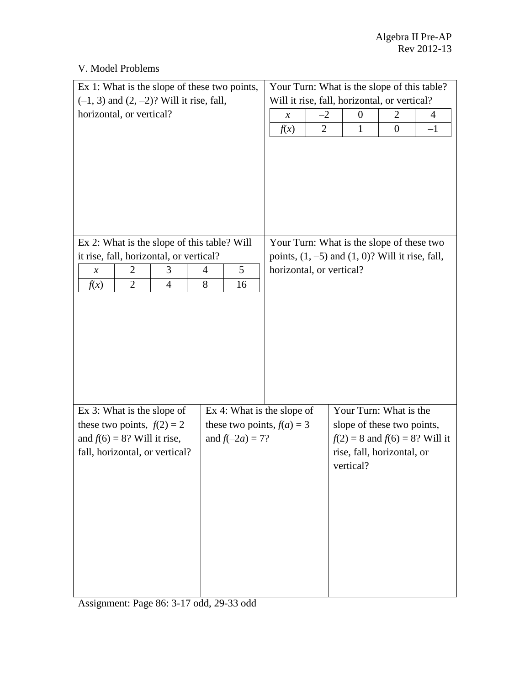| V. Model Problems |  |
|-------------------|--|
|                   |  |

| Ex 1: What is the slope of these two points,                     |                                              | Your Turn: What is the slope of this table?          |                                                                                |                  |      |
|------------------------------------------------------------------|----------------------------------------------|------------------------------------------------------|--------------------------------------------------------------------------------|------------------|------|
| $(-1, 3)$ and $(2, -2)$ ? Will it rise, fall,                    | Will it rise, fall, horizontal, or vertical? |                                                      |                                                                                |                  |      |
| horizontal, or vertical?                                         | $-2$<br>$\boldsymbol{\chi}$                  | $\boldsymbol{0}$                                     | 2                                                                              | 4                |      |
|                                                                  |                                              | f(x)<br>$\overline{2}$                               | 1                                                                              | $\boldsymbol{0}$ | $-1$ |
|                                                                  |                                              |                                                      |                                                                                |                  |      |
| Ex 2: What is the slope of this table? Will                      |                                              | Your Turn: What is the slope of these two            |                                                                                |                  |      |
| it rise, fall, horizontal, or vertical?                          |                                              | points, $(1, -5)$ and $(1, 0)$ ? Will it rise, fall, |                                                                                |                  |      |
| 2<br>3<br>$\boldsymbol{\mathcal{X}}$                             | 5<br>4                                       | horizontal, or vertical?                             |                                                                                |                  |      |
| $\overline{2}$<br>$\overline{4}$<br>f(x)                         | 8<br>16                                      |                                                      |                                                                                |                  |      |
|                                                                  |                                              |                                                      |                                                                                |                  |      |
| Ex 3: What is the slope of                                       | Ex 4: What is the slope of                   |                                                      | Your Turn: What is the                                                         |                  |      |
| these two points, $f(2) = 2$                                     | these two points, $f(a) = 3$                 |                                                      | slope of these two points,                                                     |                  |      |
| and $f(6) = 8$ ? Will it rise,<br>fall, horizontal, or vertical? | and $f(-2a) = 7$ ?                           |                                                      | $f(2) = 8$ and $f(6) = 8$ ? Will it<br>rise, fall, horizontal, or<br>vertical? |                  |      |

Assignment: Page 86: 3-17 odd, 29-33 odd